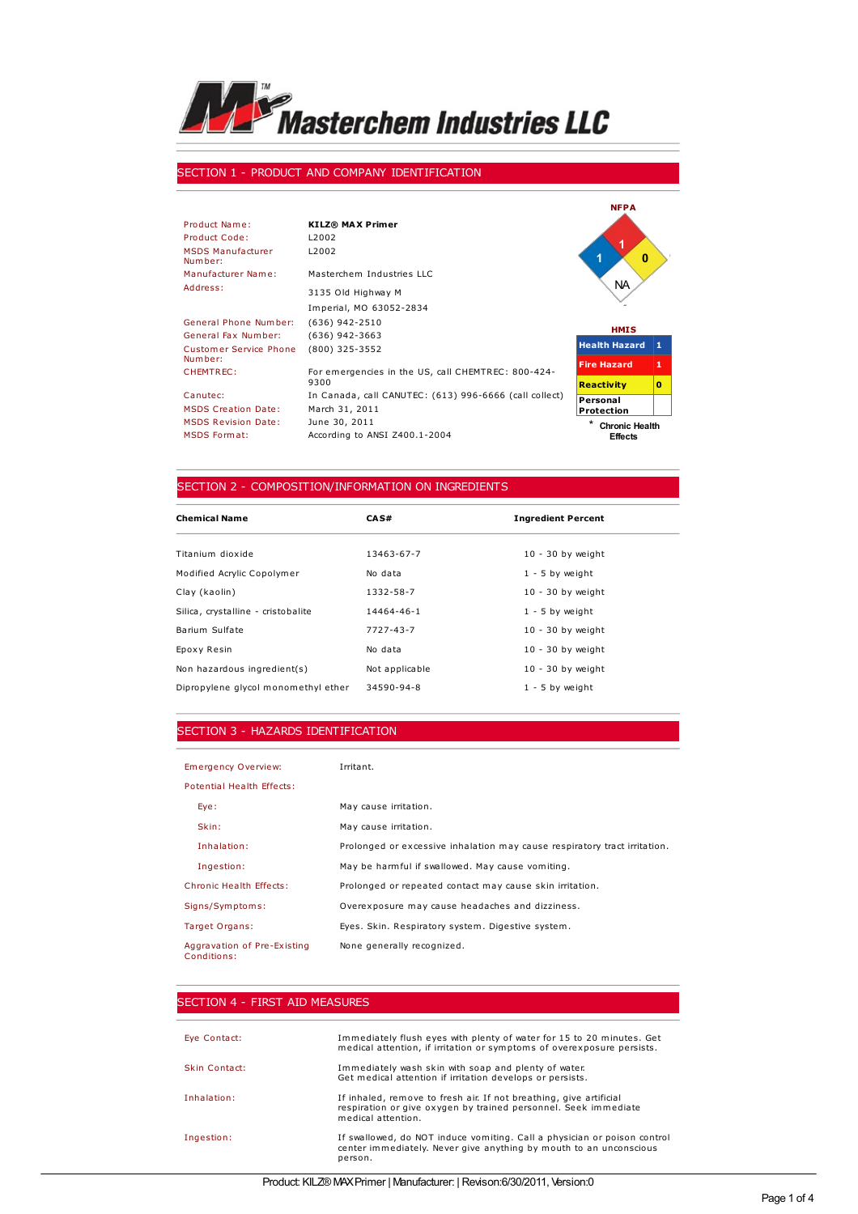

### SECTION 1 - PRODUCT AND COMPANY IDENTIFICATION

|                                     |                                                            | <b>NFPA</b>                |    |
|-------------------------------------|------------------------------------------------------------|----------------------------|----|
| Product Name:                       | <b>KILZ® MAX Primer</b>                                    |                            |    |
| Product Code:                       | L <sub>2002</sub>                                          |                            |    |
| <b>MSDS Manufacturer</b><br>Number: | L <sub>2002</sub>                                          | $\bf{0}$                   |    |
| Manufacturer Name:                  | Masterchem Industries LLC                                  | <b>NA</b>                  |    |
| Address:                            | 3135 Old Highway M                                         |                            |    |
|                                     | Imperial, MO 63052-2834                                    |                            |    |
| General Phone Number:               | $(636)$ 942-2510                                           | <b>HMIS</b>                |    |
| General Fax Number:                 | $(636)$ 942-3663                                           |                            |    |
| <b>Customer Service Phone</b>       | $(800)$ 325-3552                                           | <b>Health Hazard</b>       | 11 |
| Number:                             |                                                            | <b>Fire Hazard</b>         | 1  |
| CHEMTREC:                           | For emergencies in the US, call CHEMTREC: 800-424-<br>9300 | <b>Reactivity</b>          | o  |
| Canutec:                            | In Canada, call CANUTEC: (613) 996-6666 (call collect)     | Personal                   |    |
| <b>MSDS Creation Date:</b>          | March 31, 2011                                             | <b>Protection</b>          |    |
| <b>MSDS Revision Date:</b>          | June 30, 2011                                              | ×<br><b>Chronic Health</b> |    |
| <b>MSDS Format:</b>                 | According to ANSI Z400.1-2004                              | <b>Effects</b>             |    |

## SECTION 2 - COMPOSITION/INFORMATION ON INGREDIENTS

| <b>Chemical Name</b>                | CAS#            | <b>Ingredient Percent</b> |
|-------------------------------------|-----------------|---------------------------|
| Titanium dioxide                    | 13463-67-7      | $10 - 30$ by weight       |
| Modified Acrylic Copolymer          | No data         | $1 - 5$ by weight         |
| Clay (kaolin)                       | 1332-58-7       | $10 - 30$ by weight       |
| Silica, crystalline - cristobalite  | 14464-46-1      | $1 - 5$ by weight         |
| Barium Sulfate                      | $7727 - 43 - 7$ | $10 - 30$ by weight       |
| Epoxy Resin                         | No data         | $10 - 30$ by weight       |
| Non hazardous ingredient(s)         | Not applicable  | $10 - 30$ by weight       |
| Dipropylene glycol monomethyl ether | 34590-94-8      | $1 - 5$ by weight         |

## SECTION 3 - HAZARDS IDENTIFICATION

| Emergency Overview:                        | Irritant.                                                                 |
|--------------------------------------------|---------------------------------------------------------------------------|
| Potential Health Effects:                  |                                                                           |
| Eye:                                       | May cause irritation.                                                     |
| Skin:                                      | May cause irritation.                                                     |
| Inhalation:                                | Prolonged or excessive inhalation may cause respiratory tract irritation. |
| Ingestion:                                 | May be harmful if swallowed. May cause vomiting.                          |
| Chronic Health Effects:                    | Prolonged or repeated contact may cause skin irritation.                  |
| Signs/Symptoms:                            | Overexposure may cause headaches and dizziness.                           |
| Target Organs:                             | Eyes. Skin. Respiratory system. Digestive system.                         |
| Aggravation of Pre-Existing<br>Conditions: | None generally recognized.                                                |

| SECTION 4 - FIRST AID MEASURES |                                                                                                                                                             |
|--------------------------------|-------------------------------------------------------------------------------------------------------------------------------------------------------------|
| Eye Contact:                   | Immediately flush eyes with plenty of water for 15 to 20 minutes. Get<br>medical attention, if irritation or symptoms of overexposure persists.             |
| Skin Contact:                  | Immediately wash skin with soap and plenty of water.<br>Get medical attention if irritation develops or persists.                                           |
| Inhalation:                    | If inhaled, remove to fresh air. If not breathing, give artificial<br>respiration or give oxygen by trained personnel. Seek immediate<br>medical attention. |
| Ingestion:                     | If swallowed, do NOT induce vomiting. Call a physician or poison control<br>center immediately. Never give anything by mouth to an unconscious<br>person.   |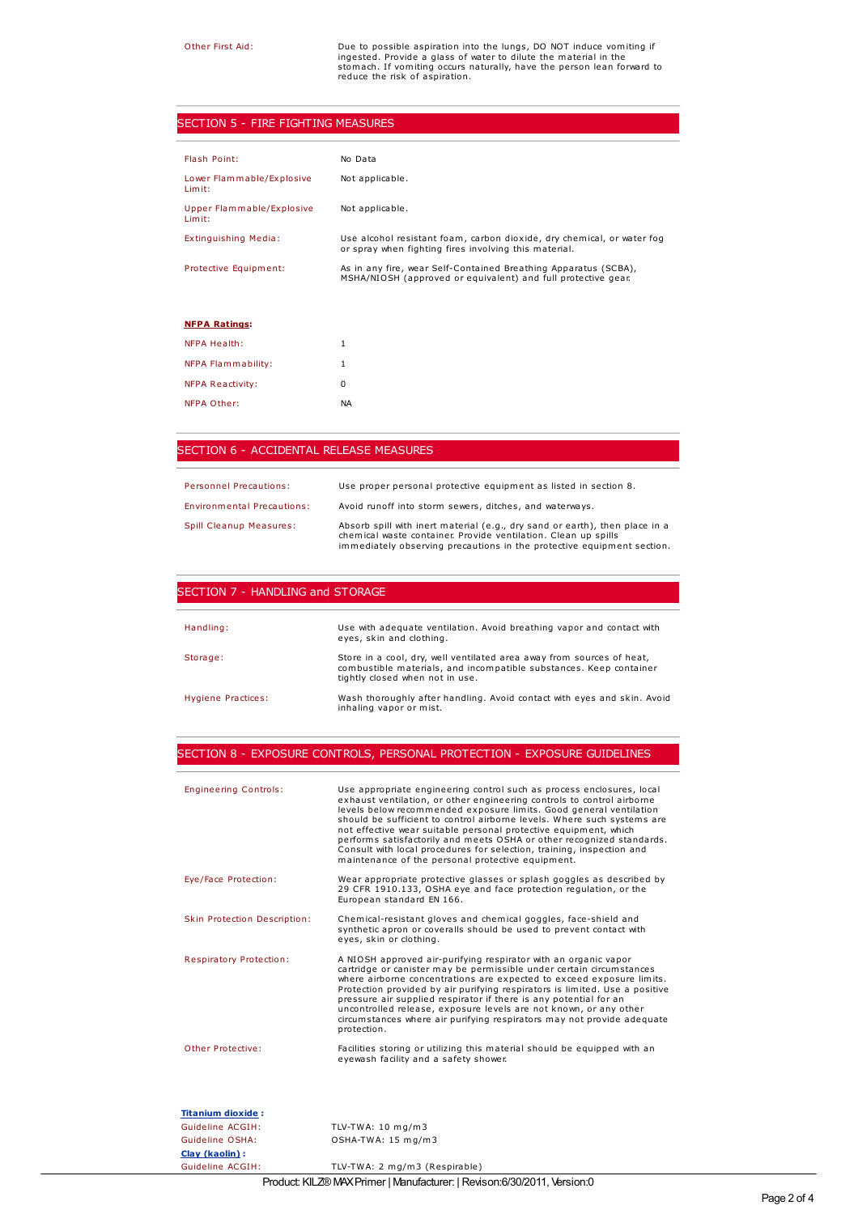Other First Aid:<br>
Due to possible aspiration into the lungs, DO NOT induce vomiting if<br>
ingested. Provide a glass of water to dilute the material in the<br>
stom ach. If vomiting occurs naturally, have the person lean forward

## SECTION 5 - FIRE FIGHTING MEASURES

| Flash Point:                                  | No Data                                                                                                                          |
|-----------------------------------------------|----------------------------------------------------------------------------------------------------------------------------------|
| Lower Flammable/Explosive<br>Limit:           | Not applicable.                                                                                                                  |
| <b>Upper Flammable/Explosive</b><br>$Lim$ it: | Not applicable.                                                                                                                  |
| Extinguishing Media:                          | Use alcohol resistant foam, carbon dioxide, dry chemical, or water fog<br>or spray when fighting fires involving this material.  |
| Protective Equipment:                         | As in any fire, wear Self-Contained Breathing Apparatus (SCBA),<br>MSHA/NIOSH (approved or equivalent) and full protective gear. |
|                                               |                                                                                                                                  |
| <b>NFPA Ratings:</b>                          |                                                                                                                                  |
| <b>NFPA Health:</b>                           | 1                                                                                                                                |
| NFPA Flammability:                            | 1                                                                                                                                |
| <b>NFPA Reactivity:</b>                       | 0                                                                                                                                |
| NFPA Other:                                   | <b>NA</b>                                                                                                                        |

### SECTION 6 - ACCIDENTAL RELEASE MEASURES

| <b>Personnel Precautions:</b>     | Use proper personal protective equipment as listed in section 8.                                                                                                                                                        |
|-----------------------------------|-------------------------------------------------------------------------------------------------------------------------------------------------------------------------------------------------------------------------|
| <b>Environmental Precautions:</b> | Avoid runoff into storm sewers, ditches, and waterways.                                                                                                                                                                 |
| Spill Cleanup Measures:           | Absorb spill with inert material (e.g., dry sand or earth), then place in a<br>chemical waste container. Provide ventilation. Clean up spills<br>immediately observing precautions in the protective equipment section. |

| SECTION 7 - HANDLING and STORAGE |                                                                                                                                                                                |  |
|----------------------------------|--------------------------------------------------------------------------------------------------------------------------------------------------------------------------------|--|
|                                  |                                                                                                                                                                                |  |
| Handling:                        | Use with adequate ventilation. Avoid breathing vapor and contact with<br>eyes, skin and clothing.                                                                              |  |
| Storage:                         | Store in a cool, dry, well ventilated area away from sources of heat,<br>combustible materials, and incompatible substances. Keep container<br>tightly closed when not in use. |  |
| Hygiene Practices:               | Wash thoroughly after handling. Avoid contact with eyes and skin. Avoid<br>inhaling vapor or mist.                                                                             |  |

## SECTION 8 - EXPOSURE CONTROLS, PERSONAL PROTECTION - EXPOSURE GUIDELINES

| <b>Engineering Controls:</b>   | Use appropriate engineering control such as process enclosures, local<br>exhaust ventilation, or other engineering controls to control airborne<br>levels below recommended exposure limits. Good general ventilation<br>should be sufficient to control airborne levels. Where such systems are<br>not effective wear suitable personal protective equipment, which<br>performs satisfactorily and meets OSHA or other recognized standards.<br>Consult with local procedures for selection, training, inspection and<br>maintenance of the personal protective equipment. |
|--------------------------------|-----------------------------------------------------------------------------------------------------------------------------------------------------------------------------------------------------------------------------------------------------------------------------------------------------------------------------------------------------------------------------------------------------------------------------------------------------------------------------------------------------------------------------------------------------------------------------|
| Eye/Face Protection:           | Wear appropriate protective glasses or splash goggles as described by<br>29 CFR 1910.133, OSHA eye and face protection regulation, or the<br>European standard EN 166.                                                                                                                                                                                                                                                                                                                                                                                                      |
| Skin Protection Description:   | Chemical-resistant gloves and chemical goggles, face-shield and<br>synthetic apron or coveralls should be used to prevent contact with<br>eyes, skin or clothing.                                                                                                                                                                                                                                                                                                                                                                                                           |
| <b>Respiratory Protection:</b> | A NIOSH approved air-purifying respirator with an organic vapor<br>cartridge or canister may be permissible under certain circumstances<br>where airborne concentrations are expected to exceed exposure limits.<br>Protection provided by air purifying respirators is limited. Use a positive<br>pressure air supplied respirator if there is any potential for an<br>uncontrolled release, exposure levels are not known, or any other<br>circumstances where air purifying respirators may not provide adequate<br>protection.                                          |
| Other Protective:              | Facilities storing or utilizing this material should be equipped with an<br>eyewash facility and a safety shower.                                                                                                                                                                                                                                                                                                                                                                                                                                                           |
| <b>Titanium dioxide:</b>       |                                                                                                                                                                                                                                                                                                                                                                                                                                                                                                                                                                             |
| Guideline ACGIH:               | TLV-TWA: $10 \text{ mg/m}$ 3                                                                                                                                                                                                                                                                                                                                                                                                                                                                                                                                                |
| Guideline OSHA:                | OSHA-TWA: 15 mg/m3                                                                                                                                                                                                                                                                                                                                                                                                                                                                                                                                                          |
| Clay (kaolin):                 |                                                                                                                                                                                                                                                                                                                                                                                                                                                                                                                                                                             |
| Guideline ACGIH:               | TLV-TWA: 2 mg/m3 (Respirable)                                                                                                                                                                                                                                                                                                                                                                                                                                                                                                                                               |

Product: KILZ®MAXPrimer | Manufacturer: | Revison:6/30/2011, Version:0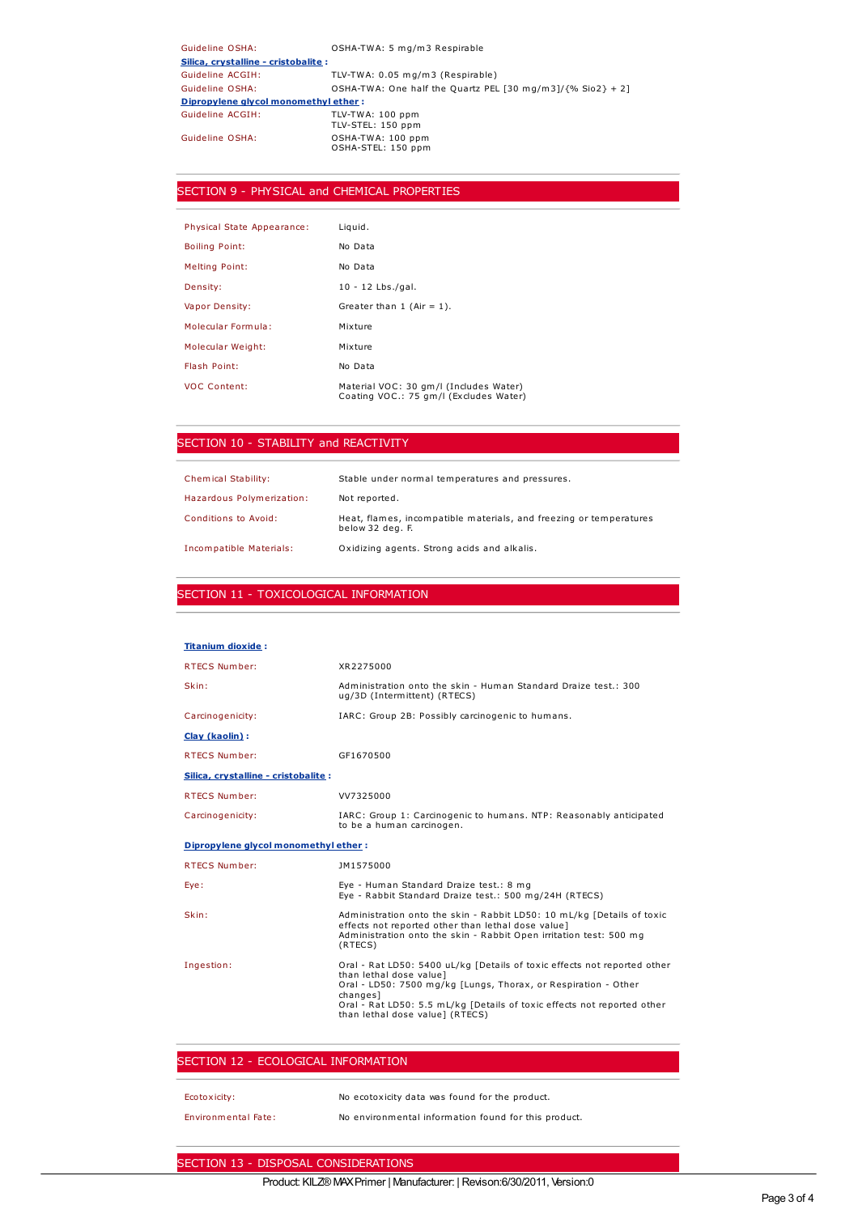| Guideline OSHA:                      | OSHA-TWA: 5 mg/m3 Respirable                                   |
|--------------------------------------|----------------------------------------------------------------|
| Silica, crystalline - cristobalite : |                                                                |
| Guideline ACGIH:                     | TLV-TWA: 0.05 mg/m3 (Respirable)                               |
| Guideline OSHA:                      | OSHA-TWA: One half the Quartz PEL [30 mg/m3]/ $\{%$ Sio2} + 2] |
| Dipropylene glycol monomethyl ether: |                                                                |
| Guideline ACGIH:                     | TLV-TWA: 100 ppm<br>TLV-STEL: 150 ppm                          |
| Guideline OSHA:                      | OSHA-TWA: 100 ppm<br>OSHA-STEL: 150 ppm                        |

## SECTION 9 - PHYSICAL and CHEMICAL PROPERTIES

| Physical State Appearance: | Liquid.                                                                          |
|----------------------------|----------------------------------------------------------------------------------|
| <b>Boiling Point:</b>      | No Data                                                                          |
| <b>Melting Point:</b>      | No Data                                                                          |
| Density:                   | $10 - 12$ Lbs./gal.                                                              |
| Vapor Density:             | Greater than $1$ (Air = 1).                                                      |
| Molecular Formula:         | Mixture                                                                          |
| Molecular Weight:          | Mixture                                                                          |
| Flash Point:               | No Data                                                                          |
| <b>VOC Content:</b>        | Material VOC: 30 gm/l (Includes Water)<br>Coating VOC.: 75 gm/l (Excludes Water) |

## SECTION 10 - STABILITY and REACTIVITY

| <b>Chemical Stability:</b> | Stable under normal temperatures and pressures.                                        |
|----------------------------|----------------------------------------------------------------------------------------|
| Hazardous Polymerization:  | Not reported.                                                                          |
| Conditions to Avoid:       | Heat, flames, incompatible materials, and freezing or temperatures<br>below 32 deg. F. |
| Incompatible Materials:    | Oxidizing agents. Strong acids and alkalis.                                            |

### SECTION 11 - TOXICOLOGICAL INFORMATION

| <b>Titanium dioxide:</b>             |                                                                                                                                                                                                                                                                                                 |
|--------------------------------------|-------------------------------------------------------------------------------------------------------------------------------------------------------------------------------------------------------------------------------------------------------------------------------------------------|
| <b>RTECS Number:</b>                 | XR2275000                                                                                                                                                                                                                                                                                       |
| Skin:                                | Administration onto the skin - Human Standard Draize test.: 300<br>ug/3D (Intermittent) (RTECS)                                                                                                                                                                                                 |
| Carcinogenicity:                     | IARC: Group 2B: Possibly carcinogenic to humans.                                                                                                                                                                                                                                                |
| Clay (kaolin):                       |                                                                                                                                                                                                                                                                                                 |
| <b>RTECS Number:</b>                 | GF1670500                                                                                                                                                                                                                                                                                       |
| Silica, crystalline - cristobalite : |                                                                                                                                                                                                                                                                                                 |
| <b>RTECS Number:</b>                 | VV7325000                                                                                                                                                                                                                                                                                       |
| Carcinogenicity:                     | IARC: Group 1: Carcinogenic to humans. NTP: Reasonably anticipated<br>to be a human carcinogen.                                                                                                                                                                                                 |
| Dipropylene glycol monomethyl ether: |                                                                                                                                                                                                                                                                                                 |
| <b>RTECS Number:</b>                 | JM1575000                                                                                                                                                                                                                                                                                       |
| Eye:                                 | Eye - Human Standard Draize test.: 8 mg<br>Eye - Rabbit Standard Draize test.: 500 mg/24H (RTECS)                                                                                                                                                                                               |
| Skin:                                | Administration onto the skin - Rabbit LD50: 10 mL/kg [Details of toxic<br>effects not reported other than lethal dose value]<br>Administration onto the skin - Rabbit Open irritation test: 500 mg<br>(RTECS)                                                                                   |
| Ingestion:                           | Oral - Rat LD50: 5400 uL/kg [Details of toxic effects not reported other<br>than lethal dose value]<br>Oral - LD50: 7500 mg/kg [Lungs, Thorax, or Respiration - Other<br>changesl<br>Oral - Rat LD50: 5.5 mL/kg [Details of toxic effects not reported other<br>than lethal dose value] (RTECS) |

## SECTION 12 - ECOLOGICAL INFORMATION

| Ecotoxicity:        | No ecotoxicity data was found for the product.       |
|---------------------|------------------------------------------------------|
| Environmental Fate: | No environmental information found for this product. |

# SECTION 13 - DISPOSAL CONSIDERATIONS

## Product: KILZ®MAXPrimer | Manufacturer: | Revison:6/30/2011, Version:0